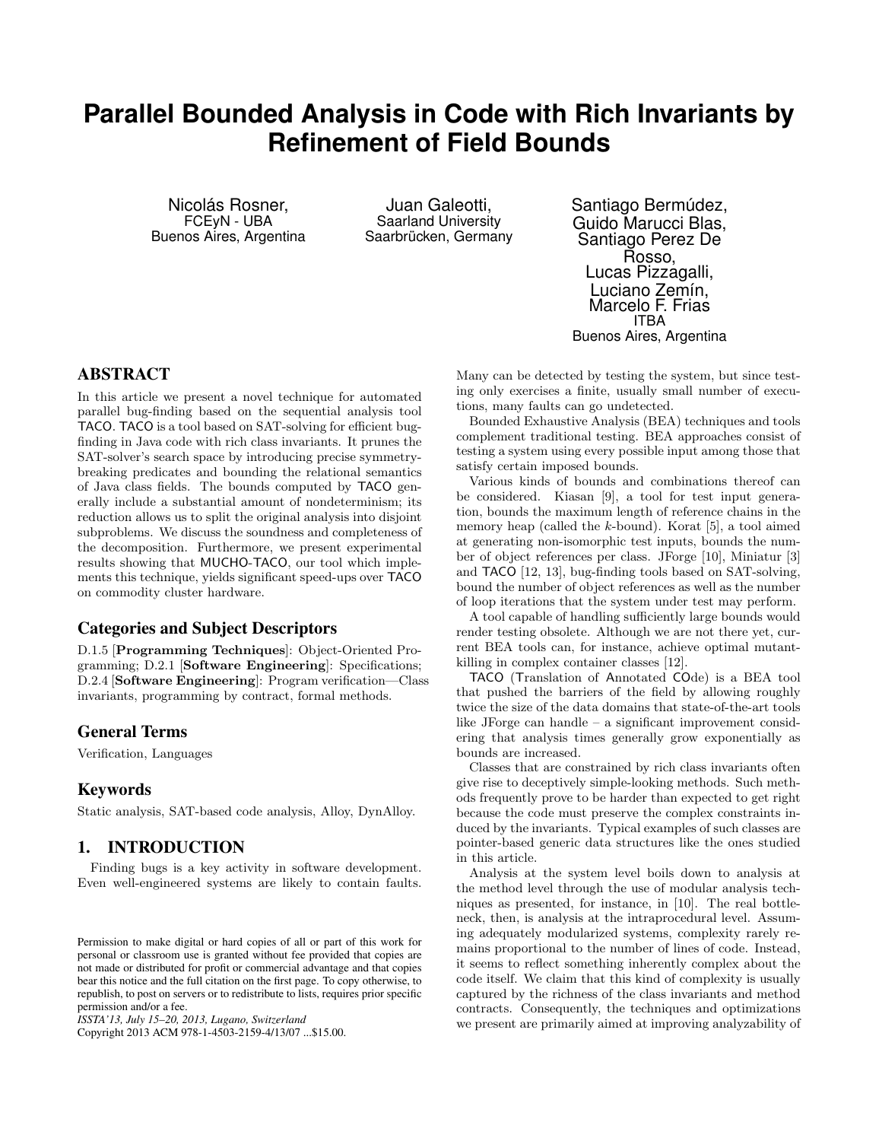# **Parallel Bounded Analysis in Code with Rich Invariants by Refinement of Field Bounds**

Nicolás Rosner, FCEyN - UBA Buenos Aires, Argentina

Juan Galeotti, Saarland University Saarbrücken, Germany Santiago Bermúdez, Guido Marucci Blas, Santiago Perez De Rosso, Lucas Pizzagalli, Luciano Zemín, Marcelo F. Frias ITBA Buenos Aires, Argentina

# ABSTRACT

In this article we present a novel technique for automated parallel bug-finding based on the sequential analysis tool TACO. TACO is a tool based on SAT-solving for efficient bugfinding in Java code with rich class invariants. It prunes the SAT-solver's search space by introducing precise symmetrybreaking predicates and bounding the relational semantics of Java class fields. The bounds computed by TACO generally include a substantial amount of nondeterminism; its reduction allows us to split the original analysis into disjoint subproblems. We discuss the soundness and completeness of the decomposition. Furthermore, we present experimental results showing that MUCHO-TACO, our tool which implements this technique, yields significant speed-ups over TACO on commodity cluster hardware.

# Categories and Subject Descriptors

D.1.5 [Programming Techniques]: Object-Oriented Programming; D.2.1 [Software Engineering]: Specifications; D.2.4 [Software Engineering]: Program verification—Class invariants, programming by contract, formal methods.

# General Terms

Verification, Languages

#### Keywords

Static analysis, SAT-based code analysis, Alloy, DynAlloy.

# 1. INTRODUCTION

Finding bugs is a key activity in software development. Even well-engineered systems are likely to contain faults.

Copyright 2013 ACM 978-1-4503-2159-4/13/07 ...\$15.00.

Many can be detected by testing the system, but since testing only exercises a finite, usually small number of executions, many faults can go undetected.

Bounded Exhaustive Analysis (BEA) techniques and tools complement traditional testing. BEA approaches consist of testing a system using every possible input among those that satisfy certain imposed bounds.

Various kinds of bounds and combinations thereof can be considered. Kiasan [9], a tool for test input generation, bounds the maximum length of reference chains in the memory heap (called the k-bound). Korat [5], a tool aimed at generating non-isomorphic test inputs, bounds the number of object references per class. JForge [10], Miniatur [3] and TACO [12, 13], bug-finding tools based on SAT-solving, bound the number of object references as well as the number of loop iterations that the system under test may perform.

A tool capable of handling sufficiently large bounds would render testing obsolete. Although we are not there yet, current BEA tools can, for instance, achieve optimal mutantkilling in complex container classes [12].

TACO (Translation of Annotated COde) is a BEA tool that pushed the barriers of the field by allowing roughly twice the size of the data domains that state-of-the-art tools like JForge can handle – a significant improvement considering that analysis times generally grow exponentially as bounds are increased.

Classes that are constrained by rich class invariants often give rise to deceptively simple-looking methods. Such methods frequently prove to be harder than expected to get right because the code must preserve the complex constraints induced by the invariants. Typical examples of such classes are pointer-based generic data structures like the ones studied in this article.

Analysis at the system level boils down to analysis at the method level through the use of modular analysis techniques as presented, for instance, in [10]. The real bottleneck, then, is analysis at the intraprocedural level. Assuming adequately modularized systems, complexity rarely remains proportional to the number of lines of code. Instead, it seems to reflect something inherently complex about the code itself. We claim that this kind of complexity is usually captured by the richness of the class invariants and method contracts. Consequently, the techniques and optimizations we present are primarily aimed at improving analyzability of

Permission to make digital or hard copies of all or part of this work for personal or classroom use is granted without fee provided that copies are not made or distributed for profit or commercial advantage and that copies bear this notice and the full citation on the first page. To copy otherwise, to republish, to post on servers or to redistribute to lists, requires prior specific permission and/or a fee.

*ISSTA'13, July 15–20, 2013, Lugano, Switzerland*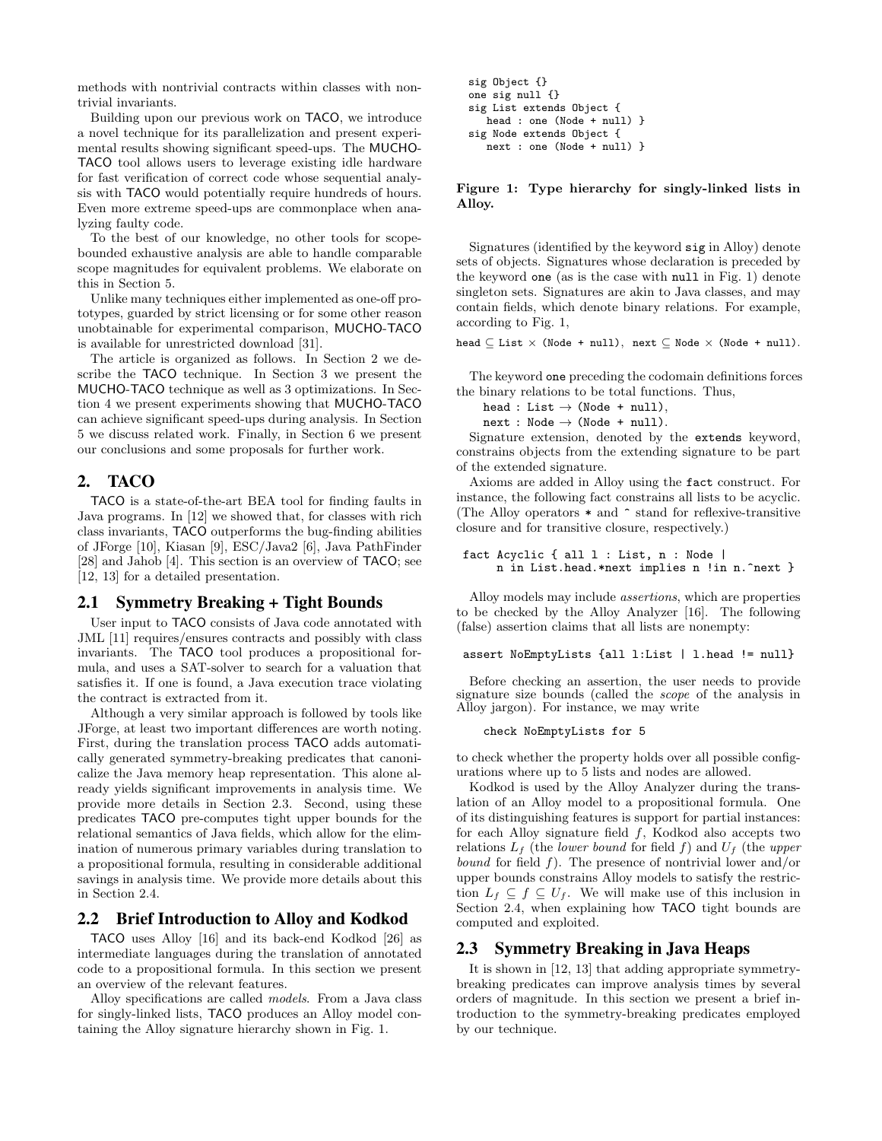methods with nontrivial contracts within classes with nontrivial invariants.

Building upon our previous work on TACO, we introduce a novel technique for its parallelization and present experimental results showing significant speed-ups. The MUCHO-TACO tool allows users to leverage existing idle hardware for fast verification of correct code whose sequential analysis with TACO would potentially require hundreds of hours. Even more extreme speed-ups are commonplace when analyzing faulty code.

To the best of our knowledge, no other tools for scopebounded exhaustive analysis are able to handle comparable scope magnitudes for equivalent problems. We elaborate on this in Section 5.

Unlike many techniques either implemented as one-off prototypes, guarded by strict licensing or for some other reason unobtainable for experimental comparison, MUCHO-TACO is available for unrestricted download [31].

The article is organized as follows. In Section 2 we describe the TACO technique. In Section 3 we present the MUCHO-TACO technique as well as 3 optimizations. In Section 4 we present experiments showing that MUCHO-TACO can achieve significant speed-ups during analysis. In Section 5 we discuss related work. Finally, in Section 6 we present our conclusions and some proposals for further work.

# 2. TACO

TACO is a state-of-the-art BEA tool for finding faults in Java programs. In [12] we showed that, for classes with rich class invariants, TACO outperforms the bug-finding abilities of JForge [10], Kiasan [9], ESC/Java2 [6], Java PathFinder [28] and Jahob [4]. This section is an overview of TACO; see [12, 13] for a detailed presentation.

## 2.1 Symmetry Breaking + Tight Bounds

User input to TACO consists of Java code annotated with JML [11] requires/ensures contracts and possibly with class invariants. The TACO tool produces a propositional formula, and uses a SAT-solver to search for a valuation that satisfies it. If one is found, a Java execution trace violating the contract is extracted from it.

Although a very similar approach is followed by tools like JForge, at least two important differences are worth noting. First, during the translation process TACO adds automatically generated symmetry-breaking predicates that canonicalize the Java memory heap representation. This alone already yields significant improvements in analysis time. We provide more details in Section 2.3. Second, using these predicates TACO pre-computes tight upper bounds for the relational semantics of Java fields, which allow for the elimination of numerous primary variables during translation to a propositional formula, resulting in considerable additional savings in analysis time. We provide more details about this in Section 2.4.

#### 2.2 Brief Introduction to Alloy and Kodkod

TACO uses Alloy [16] and its back-end Kodkod [26] as intermediate languages during the translation of annotated code to a propositional formula. In this section we present an overview of the relevant features.

Alloy specifications are called models. From a Java class for singly-linked lists, TACO produces an Alloy model containing the Alloy signature hierarchy shown in Fig. 1.

```
sig Object {}
one sig null {}
sig List extends Object {
  head : one (Node + null) }
sig Node extends Object {
  next : one (Node + null) }
```
Figure 1: Type hierarchy for singly-linked lists in Alloy.

Signatures (identified by the keyword sig in Alloy) denote sets of objects. Signatures whose declaration is preceded by the keyword one (as is the case with null in Fig. 1) denote singleton sets. Signatures are akin to Java classes, and may contain fields, which denote binary relations. For example, according to Fig. 1,

head  $\subseteq$  List  $\times$  (Node + null), next  $\subseteq$  Node  $\times$  (Node + null).

The keyword one preceding the codomain definitions forces the binary relations to be total functions. Thus,

head : List  $\rightarrow$  (Node + null),  $next : Node \rightarrow (Node + null).$ 

Signature extension, denoted by the extends keyword, constrains objects from the extending signature to be part of the extended signature.

Axioms are added in Alloy using the fact construct. For instance, the following fact constrains all lists to be acyclic. (The Alloy operators \* and ^ stand for reflexive-transitive closure and for transitive closure, respectively.)

```
fact Acyclic { all l : List, n : Node |
     n in List.head.*next implies n !in n.^next }
```
Alloy models may include assertions, which are properties to be checked by the Alloy Analyzer [16]. The following (false) assertion claims that all lists are nonempty:

assert NoEmptyLists {all l:List | l.head != null}

Before checking an assertion, the user needs to provide signature size bounds (called the scope of the analysis in Alloy jargon). For instance, we may write

check NoEmptyLists for 5

to check whether the property holds over all possible configurations where up to 5 lists and nodes are allowed.

Kodkod is used by the Alloy Analyzer during the translation of an Alloy model to a propositional formula. One of its distinguishing features is support for partial instances: for each Alloy signature field  $f$ , Kodkod also accepts two relations  $L_f$  (the lower bound for field f) and  $U_f$  (the upper *bound* for field  $f$ ). The presence of nontrivial lower and/or upper bounds constrains Alloy models to satisfy the restriction  $L_f \subseteq f \subseteq U_f$ . We will make use of this inclusion in Section 2.4, when explaining how TACO tight bounds are computed and exploited.

#### 2.3 Symmetry Breaking in Java Heaps

It is shown in [12, 13] that adding appropriate symmetrybreaking predicates can improve analysis times by several orders of magnitude. In this section we present a brief introduction to the symmetry-breaking predicates employed by our technique.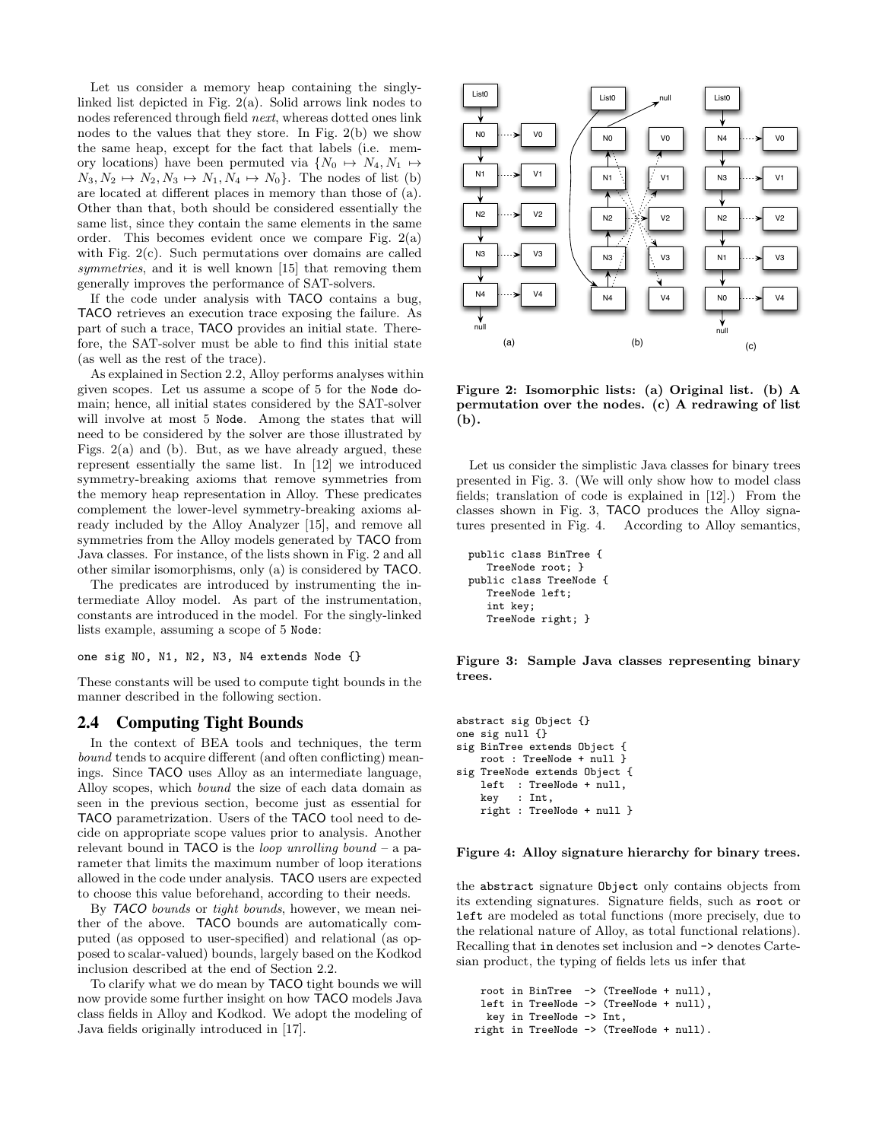Let us consider a memory heap containing the singlylinked list depicted in Fig. 2(a). Solid arrows link nodes to nodes referenced through field next, whereas dotted ones link nodes to the values that they store. In Fig. 2(b) we show the same heap, except for the fact that labels (i.e. memory locations) have been permuted via  $\{N_0 \mapsto N_4, N_1 \mapsto$  $N_3, N_2 \mapsto N_2, N_3 \mapsto N_1, N_4 \mapsto N_0$ . The nodes of list (b) are located at different places in memory than those of (a). Other than that, both should be considered essentially the same list, since they contain the same elements in the same order. This becomes evident once we compare Fig. 2(a) with Fig. 2(c). Such permutations over domains are called symmetries, and it is well known [15] that removing them generally improves the performance of SAT-solvers.

If the code under analysis with TACO contains a bug, TACO retrieves an execution trace exposing the failure. As part of such a trace, TACO provides an initial state. Therefore, the SAT-solver must be able to find this initial state (as well as the rest of the trace).

As explained in Section 2.2, Alloy performs analyses within given scopes. Let us assume a scope of 5 for the Node domain; hence, all initial states considered by the SAT-solver will involve at most 5 Node. Among the states that will need to be considered by the solver are those illustrated by Figs. 2(a) and (b). But, as we have already argued, these represent essentially the same list. In [12] we introduced symmetry-breaking axioms that remove symmetries from the memory heap representation in Alloy. These predicates complement the lower-level symmetry-breaking axioms already included by the Alloy Analyzer [15], and remove all symmetries from the Alloy models generated by TACO from Java classes. For instance, of the lists shown in Fig. 2 and all other similar isomorphisms, only (a) is considered by TACO.

The predicates are introduced by instrumenting the intermediate Alloy model. As part of the instrumentation, constants are introduced in the model. For the singly-linked lists example, assuming a scope of 5 Node:

one sig N0, N1, N2, N3, N4 extends Node {}

These constants will be used to compute tight bounds in the manner described in the following section.

#### 2.4 Computing Tight Bounds

In the context of BEA tools and techniques, the term bound tends to acquire different (and often conflicting) meanings. Since TACO uses Alloy as an intermediate language, Alloy scopes, which bound the size of each data domain as seen in the previous section, become just as essential for TACO parametrization. Users of the TACO tool need to decide on appropriate scope values prior to analysis. Another relevant bound in **TACO** is the *loop unrolling bound* – a parameter that limits the maximum number of loop iterations allowed in the code under analysis. TACO users are expected to choose this value beforehand, according to their needs.

By TACO bounds or tight bounds, however, we mean neither of the above. TACO bounds are automatically computed (as opposed to user-specified) and relational (as opposed to scalar-valued) bounds, largely based on the Kodkod inclusion described at the end of Section 2.2.

To clarify what we do mean by TACO tight bounds we will now provide some further insight on how TACO models Java class fields in Alloy and Kodkod. We adopt the modeling of Java fields originally introduced in [17].



Figure 2: Isomorphic lists: (a) Original list. (b) A permutation over the nodes. (c) A redrawing of list (b).

Let us consider the simplistic Java classes for binary trees presented in Fig. 3. (We will only show how to model class fields; translation of code is explained in [12].) From the classes shown in Fig. 3, TACO produces the Alloy signatures presented in Fig. 4. According to Alloy semantics,

```
public class BinTree {
  TreeNode root; }
public class TreeNode {
  TreeNode left;
   int key;
  TreeNode right; }
```
Figure 3: Sample Java classes representing binary trees.

```
abstract sig Object {}
one sig null {}
sig BinTree extends Object {
   root : TreeNode + null }
sig TreeNode extends Object {
   left : TreeNode + null,
    key : Int,
   right : TreeNode + null }
```
#### Figure 4: Alloy signature hierarchy for binary trees.

the abstract signature Object only contains objects from its extending signatures. Signature fields, such as root or left are modeled as total functions (more precisely, due to the relational nature of Alloy, as total functional relations). Recalling that in denotes set inclusion and -> denotes Cartesian product, the typing of fields lets us infer that

```
root in BinTree -> (TreeNode + null),
 left in TreeNode -> (TreeNode + null),
 key in TreeNode -> Int,
right in TreeNode -> (TreeNode + null).
```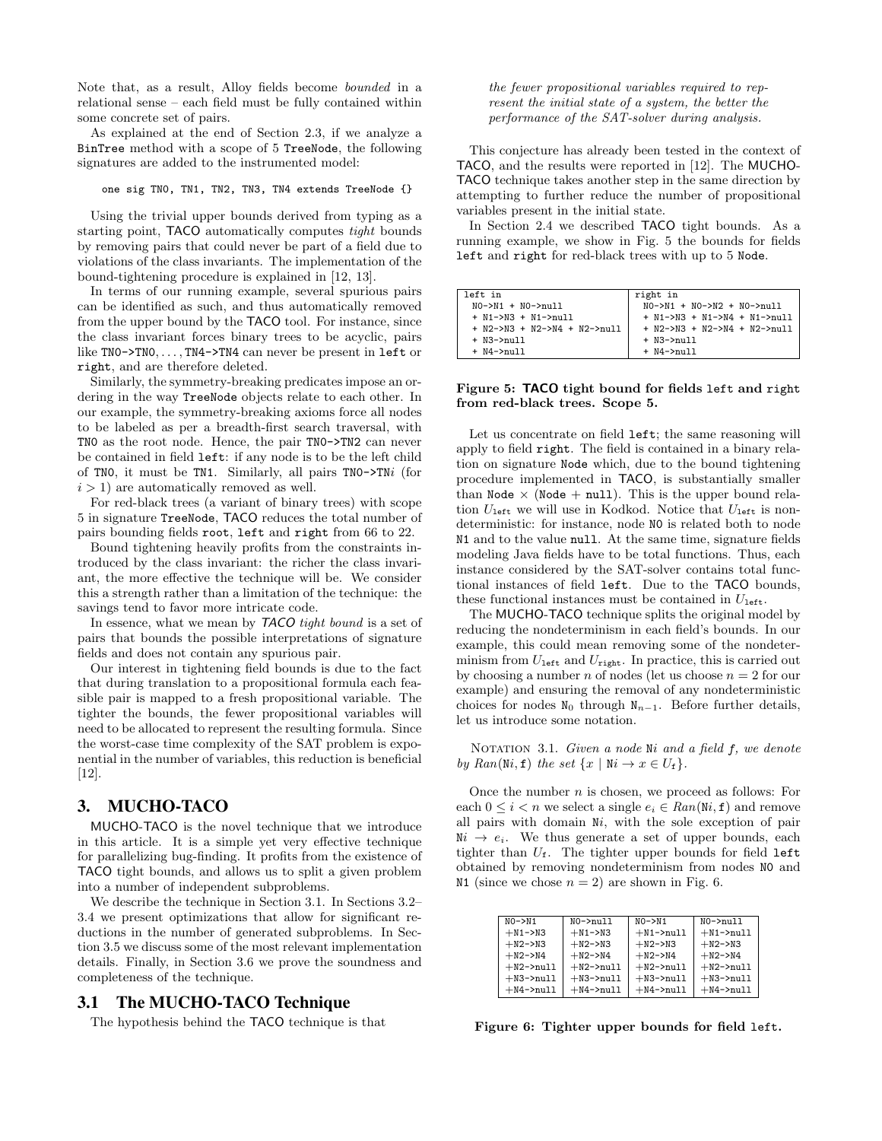Note that, as a result, Alloy fields become bounded in a relational sense – each field must be fully contained within some concrete set of pairs.

As explained at the end of Section 2.3, if we analyze a BinTree method with a scope of 5 TreeNode, the following signatures are added to the instrumented model:

one sig TN0, TN1, TN2, TN3, TN4 extends TreeNode {}

Using the trivial upper bounds derived from typing as a starting point, TACO automatically computes tight bounds by removing pairs that could never be part of a field due to violations of the class invariants. The implementation of the bound-tightening procedure is explained in [12, 13].

In terms of our running example, several spurious pairs can be identified as such, and thus automatically removed from the upper bound by the TACO tool. For instance, since the class invariant forces binary trees to be acyclic, pairs like TNO->TNO,..., TN4->TN4 can never be present in left or right, and are therefore deleted.

Similarly, the symmetry-breaking predicates impose an ordering in the way TreeNode objects relate to each other. In our example, the symmetry-breaking axioms force all nodes to be labeled as per a breadth-first search traversal, with TN0 as the root node. Hence, the pair TN0->TN2 can never be contained in field left: if any node is to be the left child of TN0, it must be TN1. Similarly, all pairs TN0->TNi (for  $i > 1$ ) are automatically removed as well.

For red-black trees (a variant of binary trees) with scope 5 in signature TreeNode, TACO reduces the total number of pairs bounding fields root, left and right from 66 to 22.

Bound tightening heavily profits from the constraints introduced by the class invariant: the richer the class invariant, the more effective the technique will be. We consider this a strength rather than a limitation of the technique: the savings tend to favor more intricate code.

In essence, what we mean by **TACO** tight bound is a set of pairs that bounds the possible interpretations of signature fields and does not contain any spurious pair.

Our interest in tightening field bounds is due to the fact that during translation to a propositional formula each feasible pair is mapped to a fresh propositional variable. The tighter the bounds, the fewer propositional variables will need to be allocated to represent the resulting formula. Since the worst-case time complexity of the SAT problem is exponential in the number of variables, this reduction is beneficial [12].

# 3. MUCHO-TACO

MUCHO-TACO is the novel technique that we introduce in this article. It is a simple yet very effective technique for parallelizing bug-finding. It profits from the existence of TACO tight bounds, and allows us to split a given problem into a number of independent subproblems.

We describe the technique in Section 3.1. In Sections 3.2– 3.4 we present optimizations that allow for significant reductions in the number of generated subproblems. In Section 3.5 we discuss some of the most relevant implementation details. Finally, in Section 3.6 we prove the soundness and completeness of the technique.

#### 3.1 The MUCHO-TACO Technique

The hypothesis behind the TACO technique is that

#### the fewer propositional variables required to represent the initial state of a system, the better the performance of the SAT-solver during analysis.

This conjecture has already been tested in the context of TACO, and the results were reported in [12]. The MUCHO-TACO technique takes another step in the same direction by attempting to further reduce the number of propositional variables present in the initial state.

In Section 2.4 we described TACO tight bounds. As a running example, we show in Fig. 5 the bounds for fields left and right for red-black trees with up to 5 Node.

| left in                        | right in                       |
|--------------------------------|--------------------------------|
| $NO->N1 + NO->null$            | $NO->N1 + NO->N2 + NO->null1$  |
| $+$ N1->N3 $+$ N1->null        | $+$ N1->N3 + N1->N4 + N1->null |
| $+$ N2->N3 + N2->N4 + N2->null | $+$ N2->N3 + N2->N4 + N2->null |
| $+$ N3 $-$ >null               | $+$ N3 $-$ >null               |
| $+$ N4 $-$ >null               | $+$ N4 $-$ >null               |

#### Figure 5: TACO tight bound for fields left and right from red-black trees. Scope 5.

Let us concentrate on field left; the same reasoning will apply to field right. The field is contained in a binary relation on signature Node which, due to the bound tightening procedure implemented in TACO, is substantially smaller than Node  $\times$  (Node + null). This is the upper bound relation  $U_{\text{left}}$  we will use in Kodkod. Notice that  $U_{\text{left}}$  is nondeterministic: for instance, node N0 is related both to node N1 and to the value null. At the same time, signature fields modeling Java fields have to be total functions. Thus, each instance considered by the SAT-solver contains total functional instances of field left. Due to the TACO bounds, these functional instances must be contained in  $U_{\text{left}}$ .

The MUCHO-TACO technique splits the original model by reducing the nondeterminism in each field's bounds. In our example, this could mean removing some of the nondeterminism from  $U_{\text{left}}$  and  $U_{\text{right}}$ . In practice, this is carried out by choosing a number  $n$  of nodes (let us choose  $n = 2$  for our example) and ensuring the removal of any nondeterministic choices for nodes  $N_0$  through  $N_{n-1}$ . Before further details, let us introduce some notation.

NOTATION 3.1. Given a node Ni and a field f, we denote by Ran(Ni, f) the set  $\{x \mid \mathbb{N} i \to x \in U_f\}.$ 

Once the number  $n$  is chosen, we proceed as follows: For each  $0 \leq i < n$  we select a single  $e_i \in Ran(\mathbb{N}i, \mathbf{f})$  and remove all pairs with domain Ni, with the sole exception of pair  $Ni \rightarrow e_i$ . We thus generate a set of upper bounds, each tighter than  $U_f$ . The tighter upper bounds for field left obtained by removing nondeterminism from nodes N0 and N1 (since we chose  $n = 2$ ) are shown in Fig. 6.

| $NO->N1$     | $NO->null$   | $NO->N1$     | $NO->null$   |
|--------------|--------------|--------------|--------------|
| $+N1->N3$    | $+N1->N3$    | $+N1$ ->null | $+N1$ ->null |
| $+N2->N3$    | $+N2->N3$    | $+N2->N3$    | $+N2->N3$    |
| $+N2->N4$    | $+N2->N4$    | $+N2->N4$    | $+N2->N4$    |
| $+N2$ ->null | $+N2$ ->null | $+N2$ ->null | $+N2$ ->null |
| $+N3$ ->null | $+$ N3->null | $+N3$ ->null | $+N3$ ->null |
| $+N4$ ->null | $+N4$ ->null | $+N4$ ->null | $+N4$ ->null |

Figure 6: Tighter upper bounds for field left.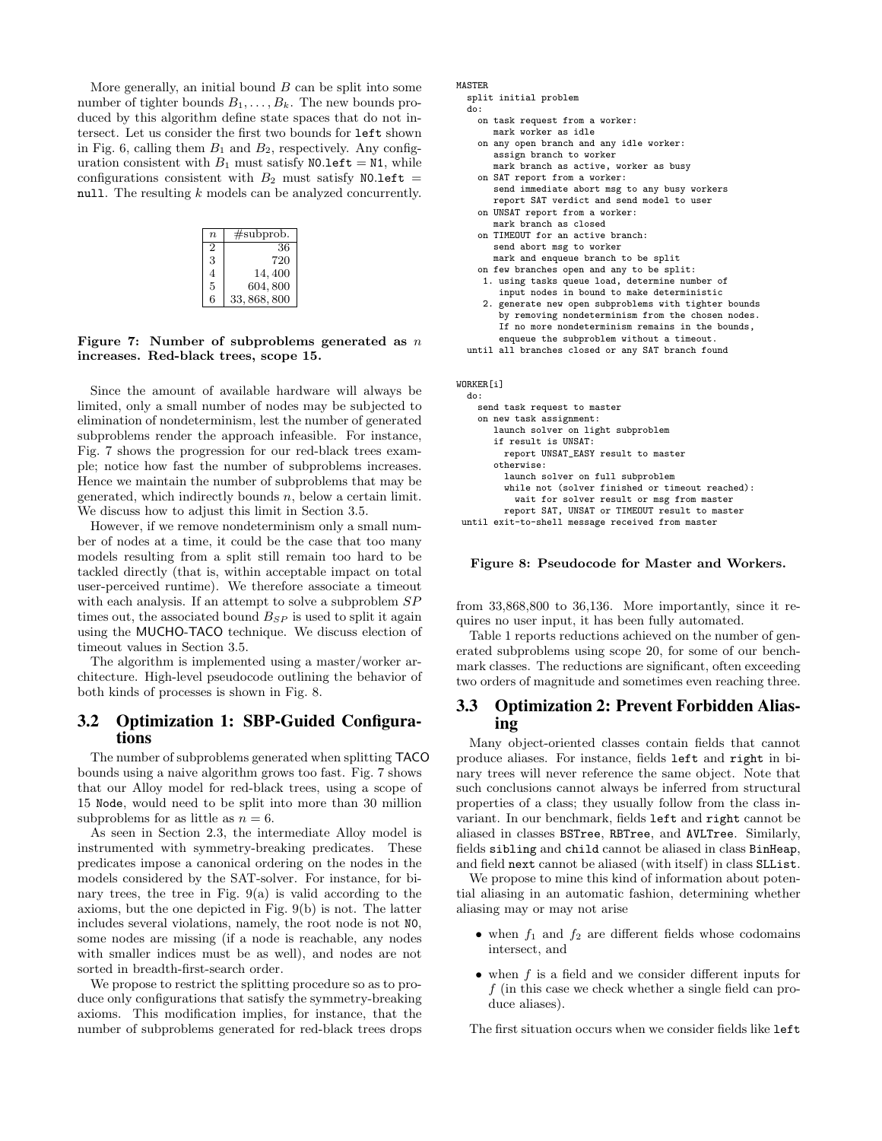More generally, an initial bound  $B$  can be split into some number of tighter bounds  $B_1, \ldots, B_k$ . The new bounds produced by this algorithm define state spaces that do not intersect. Let us consider the first two bounds for left shown in Fig. 6, calling them  $B_1$  and  $B_2$ , respectively. Any configuration consistent with  $B_1$  must satisfy NO.1eft = N1, while configurations consistent with  $B_2$  must satisfy NO.left = null. The resulting k models can be analyzed concurrently.

| $\boldsymbol{n}$ | #subprob.    |
|------------------|--------------|
| 2                | 36           |
| 3                | 720          |
| 4                | 14,400       |
| 5                | 604,800      |
| 6                | 33, 868, 800 |

#### Figure 7: Number of subproblems generated as  $n$ increases. Red-black trees, scope 15.

Since the amount of available hardware will always be limited, only a small number of nodes may be subjected to elimination of nondeterminism, lest the number of generated subproblems render the approach infeasible. For instance, Fig. 7 shows the progression for our red-black trees example; notice how fast the number of subproblems increases. Hence we maintain the number of subproblems that may be generated, which indirectly bounds  $n$ , below a certain limit. We discuss how to adjust this limit in Section 3.5.

However, if we remove nondeterminism only a small number of nodes at a time, it could be the case that too many models resulting from a split still remain too hard to be tackled directly (that is, within acceptable impact on total user-perceived runtime). We therefore associate a timeout with each analysis. If an attempt to solve a subproblem  $SP$ times out, the associated bound  $B_{SP}$  is used to split it again using the MUCHO-TACO technique. We discuss election of timeout values in Section 3.5.

The algorithm is implemented using a master/worker architecture. High-level pseudocode outlining the behavior of both kinds of processes is shown in Fig. 8.

#### 3.2 Optimization 1: SBP-Guided Configurations

The number of subproblems generated when splitting TACO bounds using a naive algorithm grows too fast. Fig. 7 shows that our Alloy model for red-black trees, using a scope of 15 Node, would need to be split into more than 30 million subproblems for as little as  $n = 6$ .

As seen in Section 2.3, the intermediate Alloy model is instrumented with symmetry-breaking predicates. These predicates impose a canonical ordering on the nodes in the models considered by the SAT-solver. For instance, for binary trees, the tree in Fig.  $9(a)$  is valid according to the axioms, but the one depicted in Fig. 9(b) is not. The latter includes several violations, namely, the root node is not N0, some nodes are missing (if a node is reachable, any nodes with smaller indices must be as well), and nodes are not sorted in breadth-first-search order.

We propose to restrict the splitting procedure so as to produce only configurations that satisfy the symmetry-breaking axioms. This modification implies, for instance, that the number of subproblems generated for red-black trees drops

#### MASTER

```
split initial problem
```

```
do:
 on task request from a worker:
    mark worker as idle
 on any open branch and any idle worker:
    assign branch to worker
     mark branch as active, worker as busy
 on SAT report from a worker:
     send immediate abort msg to any busy workers
```
- report SAT verdict and send model to user on UNSAT report from a worker:
- mark branch as closed on TIMEOUT for an active branch:
- send abort msg to worker mark and enqueue branch to be split
- on few branches open and any to be split:
- 1. using tasks queue load, determine number of input nodes in bound to make deterministic
- 2. generate new open subproblems with tighter bounds by removing nondeterminism from the chosen nodes. If no more nondeterminism remains in the bounds, enqueue the subproblem without a timeout.
- until all branches closed or any SAT branch found

WORKER[i] do:

```
send task request to master
  on new task assignment:
     launch solver on light subproblem
      if result is UNSAT:
       report UNSAT_EASY result to master
     otherwise:
       launch solver on full subproblem
        while not (solver finished or timeout reached):
         wait for solver result or msg from master
       report SAT, UNSAT or TIMEOUT result to master
until exit-to-shell message received from master
```
#### Figure 8: Pseudocode for Master and Workers.

from 33,868,800 to 36,136. More importantly, since it requires no user input, it has been fully automated.

Table 1 reports reductions achieved on the number of generated subproblems using scope 20, for some of our benchmark classes. The reductions are significant, often exceeding two orders of magnitude and sometimes even reaching three.

# 3.3 Optimization 2: Prevent Forbidden Aliasing

Many object-oriented classes contain fields that cannot produce aliases. For instance, fields left and right in binary trees will never reference the same object. Note that such conclusions cannot always be inferred from structural properties of a class; they usually follow from the class invariant. In our benchmark, fields left and right cannot be aliased in classes BSTree, RBTree, and AVLTree. Similarly, fields sibling and child cannot be aliased in class BinHeap, and field next cannot be aliased (with itself) in class SLList.

We propose to mine this kind of information about potential aliasing in an automatic fashion, determining whether aliasing may or may not arise

- when  $f_1$  and  $f_2$  are different fields whose codomains intersect, and
- $\bullet$  when f is a field and we consider different inputs for f (in this case we check whether a single field can produce aliases).

The first situation occurs when we consider fields like left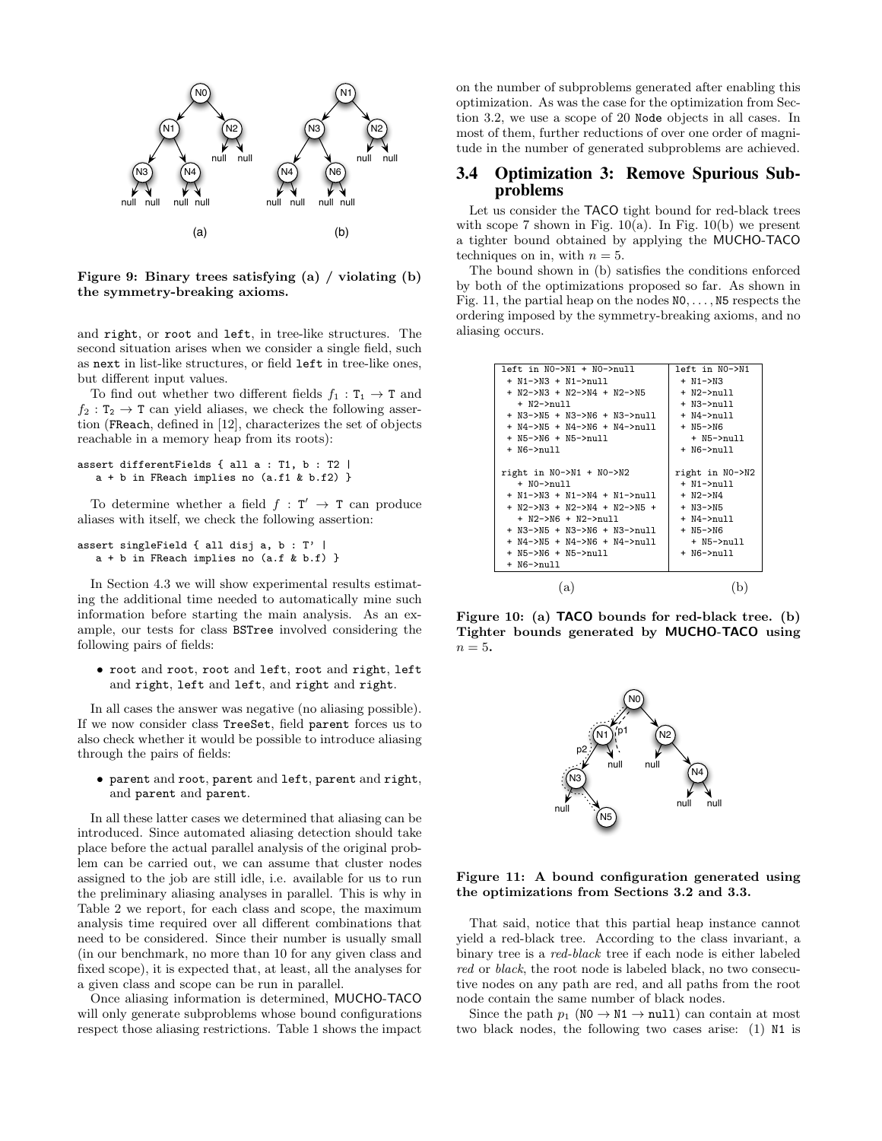

Figure 9: Binary trees satisfying (a) / violating (b) the symmetry-breaking axioms.

and right, or root and left, in tree-like structures. The second situation arises when we consider a single field, such as next in list-like structures, or field left in tree-like ones, but different input values.

To find out whether two different fields  $f_1 : T_1 \to T$  and  $f_2 : T_2 \to T$  can yield aliases, we check the following assertion (FReach, defined in [12], characterizes the set of objects reachable in a memory heap from its roots):

```
assert differentFields { all a : T1, b : T2 |
  a + b in FReach implies no (a.f1 & b.f2) }
```
To determine whether a field  $f : T' \rightarrow T$  can produce aliases with itself, we check the following assertion:

```
assert singleField { all disj a, b : T' |
   a + b in FReach implies no (a.f & b.f) }
```
In Section 4.3 we will show experimental results estimating the additional time needed to automatically mine such information before starting the main analysis. As an example, our tests for class BSTree involved considering the following pairs of fields:

• root and root, root and left, root and right, left and right, left and left, and right and right.

In all cases the answer was negative (no aliasing possible). If we now consider class TreeSet, field parent forces us to also check whether it would be possible to introduce aliasing through the pairs of fields:

• parent and root, parent and left, parent and right, and parent and parent.

In all these latter cases we determined that aliasing can be introduced. Since automated aliasing detection should take place before the actual parallel analysis of the original problem can be carried out, we can assume that cluster nodes assigned to the job are still idle, i.e. available for us to run the preliminary aliasing analyses in parallel. This is why in Table 2 we report, for each class and scope, the maximum analysis time required over all different combinations that need to be considered. Since their number is usually small (in our benchmark, no more than 10 for any given class and fixed scope), it is expected that, at least, all the analyses for a given class and scope can be run in parallel.

Once aliasing information is determined, MUCHO-TACO will only generate subproblems whose bound configurations respect those aliasing restrictions. Table 1 shows the impact

on the number of subproblems generated after enabling this optimization. As was the case for the optimization from Section 3.2, we use a scope of 20 Node objects in all cases. In most of them, further reductions of over one order of magnitude in the number of generated subproblems are achieved.

# 3.4 Optimization 3: Remove Spurious Subproblems

Let us consider the TACO tight bound for red-black trees with scope 7 shown in Fig. 10(a). In Fig. 10(b) we present a tighter bound obtained by applying the MUCHO-TACO techniques on in, with  $n = 5$ .

The bound shown in (b) satisfies the conditions enforced by both of the optimizations proposed so far. As shown in Fig. 11, the partial heap on the nodes  $NO, \ldots$ ,  $N5$  respects the ordering imposed by the symmetry-breaking axioms, and no aliasing occurs.

| $left in NO->N1 + NO->null$    | left in NO->N1   |
|--------------------------------|------------------|
| + N1->N3 + N1->null            | $+ N1 - > N3$    |
| $+$ N2->N3 + N2->N4 + N2->N5   | + N2->null       |
| + N2->null                     | + N3->null       |
| + N3->N5 + N3->N6 + N3->null   | + N4->null       |
| + N4->N5 + N4->N6 + N4->null   | $+$ N5- $>$ N6   |
| + N5->N6 + N5->null            | $+$ N5 $-$ >null |
| + N6->null                     | + N6->null       |
|                                |                  |
| right in $NO->N1 + NO->N2$     | right in NO->N2  |
| $+$ NO- $>$ null               | $+$ N1 $-$ >null |
| + N1->N3 + N1->N4 + N1->null   | $+ N2->N4$       |
| $+$ N2->N3 + N2->N4 + N2->N5 + | $+$ N3- $>$ N5   |
| $+$ N2->N6 $+$ N2->null        | + N4->null       |
| + N3->N5 + N3->N6 + N3->null   | $+$ N5- $>$ N6   |
| + N4->N5 + N4->N6 + N4->null   | $+$ N5 $-$ >null |
| + N5->N6 + N5->null            | + N6->null       |
| + N6->null                     |                  |
|                                |                  |
| a                              |                  |

Figure 10: (a) TACO bounds for red-black tree. (b) Tighter bounds generated by MUCHO-TACO using  $n=5$ .



#### Figure 11: A bound configuration generated using the optimizations from Sections 3.2 and 3.3.

That said, notice that this partial heap instance cannot yield a red-black tree. According to the class invariant, a binary tree is a red-black tree if each node is either labeled red or black, the root node is labeled black, no two consecutive nodes on any path are red, and all paths from the root node contain the same number of black nodes.

Since the path  $p_1$  (NO  $\rightarrow$  N1  $\rightarrow$  null) can contain at most two black nodes, the following two cases arise: (1) N1 is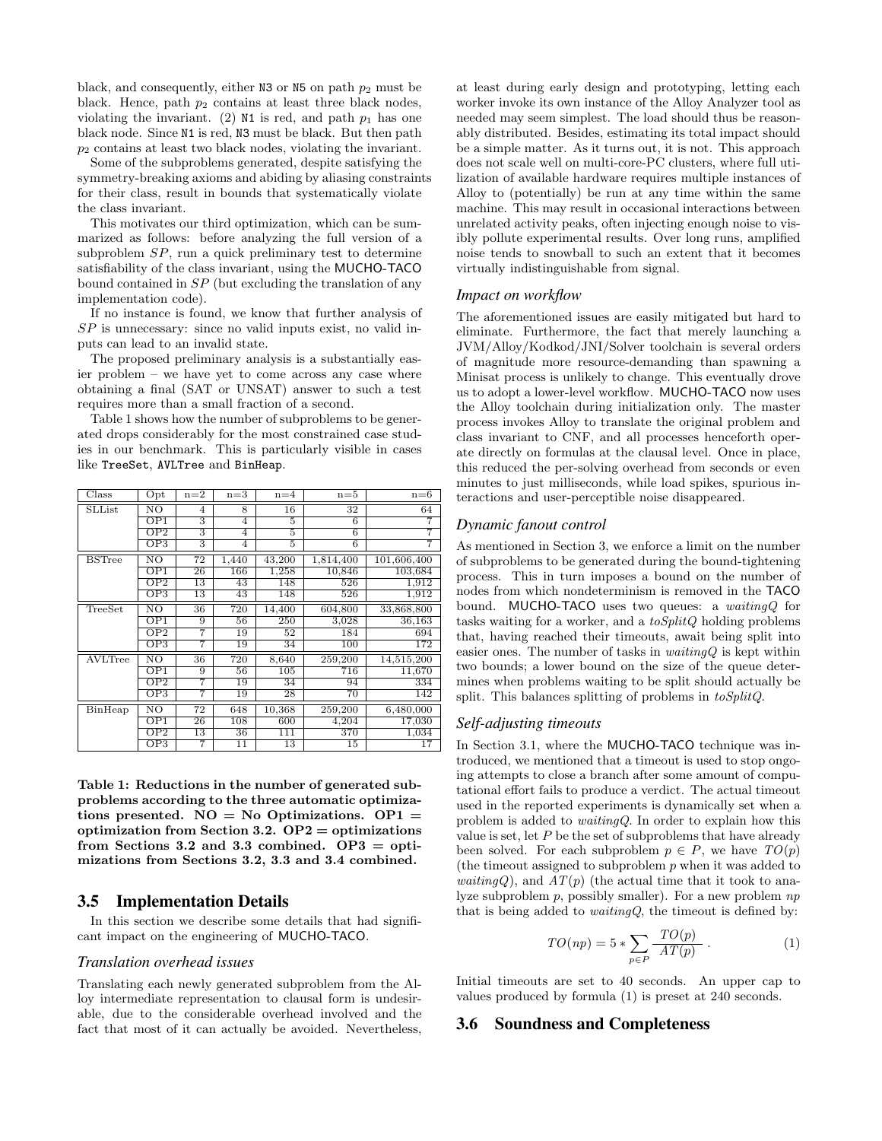black, and consequently, either N3 or N5 on path  $p_2$  must be black. Hence, path  $p_2$  contains at least three black nodes, violating the invariant. (2) N1 is red, and path  $p_1$  has one black node. Since N1 is red, N3 must be black. But then path  $p_2$  contains at least two black nodes, violating the invariant.

Some of the subproblems generated, despite satisfying the symmetry-breaking axioms and abiding by aliasing constraints for their class, result in bounds that systematically violate the class invariant.

This motivates our third optimization, which can be summarized as follows: before analyzing the full version of a subproblem SP, run a quick preliminary test to determine satisfiability of the class invariant, using the MUCHO-TACO bound contained in SP (but excluding the translation of any implementation code).

If no instance is found, we know that further analysis of SP is unnecessary: since no valid inputs exist, no valid inputs can lead to an invalid state.

The proposed preliminary analysis is a substantially easier problem – we have yet to come across any case where obtaining a final (SAT or UNSAT) answer to such a test requires more than a small fraction of a second.

Table 1 shows how the number of subproblems to be generated drops considerably for the most constrained case studies in our benchmark. This is particularly visible in cases like TreeSet, AVLTree and BinHeap.

| Class         | $_{\rm Opt}$              | $n=2$          | $n=3$          | $n=4$  | $n=5$     | $n=6$       |
|---------------|---------------------------|----------------|----------------|--------|-----------|-------------|
| SLList        | NO                        | $\overline{4}$ | 8              | 16     | 32        | 64          |
|               | OP1                       | 3              | $\overline{4}$ | 5      | 6         | 7           |
|               | $\overline{\text{OP2}}$   | 3              | 4              | 5      | 6         | 7           |
|               | OP3                       | $\overline{3}$ | 4              | 5      | 6         | 7           |
| <b>BSTree</b> | NO                        | 72             | 1,440          | 43,200 | 1,814,400 | 101,606,400 |
|               | OP1                       | 26             | 166            | 1,258  | 10,846    | 103,684     |
|               | OP2                       | 13             | 43             | 148    | 526       | 1,912       |
|               | OP3                       | 13             | 43             | 148    | 526       | 1,912       |
| TreeSet       | NO                        | 36             | 720            | 14,400 | 604,800   | 33,868,800  |
|               | OP1                       | 9              | 56             | 250    | 3,028     | 36,163      |
|               | $\overline{\text{OP2}}$   | 7              | 19             | 52     | 184       | 694         |
|               | $_{\rm OP3}$              | 7              | 19             | 34     | 100       | 172         |
| AVLTree       | NO                        | 36             | 720            | 8,640  | 259,200   | 14,515,200  |
|               | OP1                       | 9              | 56             | 105    | 716       | 11,670      |
|               | $\overline{\mathrm{OP2}}$ | 7              | 19             | 34     | 94        | 334         |
|               | OP3                       | 7              | 19             | 28     | 70        | 142         |
| BinHeap       | NΟ                        | 72             | 648            | 10,368 | 259,200   | 6,480,000   |
|               | OP1                       | 26             | 108            | 600    | 4,204     | 17,030      |
|               | OP2                       | 13             | 36             | 111    | 370       | 1,034       |
|               | $_{\mathrm{OP3}}$         | 7              | 11             | 13     | 15        | 17          |

Table 1: Reductions in the number of generated subproblems according to the three automatic optimizations presented.  $NO = No$  Optimizations.  $OP1 =$ optimization from Section 3.2.  $OP2 =$  optimizations from Sections 3.2 and 3.3 combined.  $OP3 = opti$ mizations from Sections 3.2, 3.3 and 3.4 combined.

#### 3.5 Implementation Details

In this section we describe some details that had significant impact on the engineering of MUCHO-TACO.

# *Translation overhead issues*

Translating each newly generated subproblem from the Alloy intermediate representation to clausal form is undesirable, due to the considerable overhead involved and the fact that most of it can actually be avoided. Nevertheless,

at least during early design and prototyping, letting each worker invoke its own instance of the Alloy Analyzer tool as needed may seem simplest. The load should thus be reasonably distributed. Besides, estimating its total impact should be a simple matter. As it turns out, it is not. This approach does not scale well on multi-core-PC clusters, where full utilization of available hardware requires multiple instances of Alloy to (potentially) be run at any time within the same machine. This may result in occasional interactions between unrelated activity peaks, often injecting enough noise to visibly pollute experimental results. Over long runs, amplified noise tends to snowball to such an extent that it becomes virtually indistinguishable from signal.

#### *Impact on workflow*

The aforementioned issues are easily mitigated but hard to eliminate. Furthermore, the fact that merely launching a JVM/Alloy/Kodkod/JNI/Solver toolchain is several orders of magnitude more resource-demanding than spawning a Minisat process is unlikely to change. This eventually drove us to adopt a lower-level workflow. MUCHO-TACO now uses the Alloy toolchain during initialization only. The master process invokes Alloy to translate the original problem and class invariant to CNF, and all processes henceforth operate directly on formulas at the clausal level. Once in place, this reduced the per-solving overhead from seconds or even minutes to just milliseconds, while load spikes, spurious interactions and user-perceptible noise disappeared.

#### *Dynamic fanout control*

As mentioned in Section 3, we enforce a limit on the number of subproblems to be generated during the bound-tightening process. This in turn imposes a bound on the number of nodes from which nondeterminism is removed in the TACO bound. MUCHO-TACO uses two queues: a *waitingQ* for tasks waiting for a worker, and a  $toSplitQ$  holding problems that, having reached their timeouts, await being split into easier ones. The number of tasks in  $\textit{waitingQ}$  is kept within two bounds; a lower bound on the size of the queue determines when problems waiting to be split should actually be split. This balances splitting of problems in toSplitQ.

#### *Self-adjusting timeouts*

In Section 3.1, where the MUCHO-TACO technique was introduced, we mentioned that a timeout is used to stop ongoing attempts to close a branch after some amount of computational effort fails to produce a verdict. The actual timeout used in the reported experiments is dynamically set when a problem is added to waitingQ. In order to explain how this value is set, let  $P$  be the set of subproblems that have already been solved. For each subproblem  $p \in P$ , we have  $TO(p)$ (the timeout assigned to subproblem p when it was added to *waitingQ*), and  $AT(p)$  (the actual time that it took to analyze subproblem  $p$ , possibly smaller). For a new problem  $np$ that is being added to *waitingQ*, the timeout is defined by:

$$
TO(np) = 5 * \sum_{p \in P} \frac{TO(p)}{AT(p)} . \tag{1}
$$

Initial timeouts are set to 40 seconds. An upper cap to values produced by formula (1) is preset at 240 seconds.

#### 3.6 Soundness and Completeness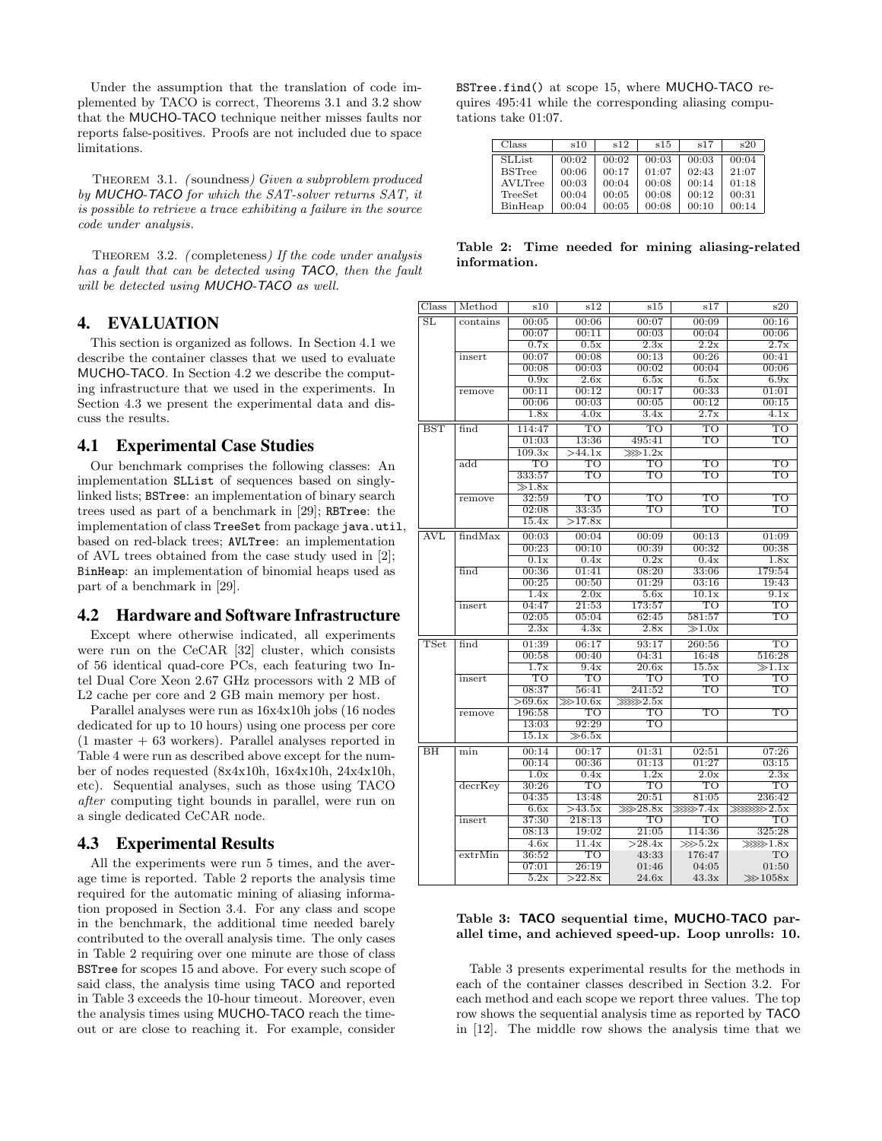Under the assumption that the translation of code implemented by TACO is correct, Theorems 3.1 and 3.2 show that the MUCHO-TACO technique neither misses faults nor reports false-positives. Proofs are not included due to space limitations.

THEOREM 3.1. (soundness) Given a subproblem produced by MUCHO-TACO for which the SAT-solver returns SAT, it is possible to retrieve a trace exhibiting a failure in the source code under analysis.

Theorem 3.2. ( completeness) If the code under analysis has a fault that can be detected using TACO, then the fault will be detected using MUCHO-TACO as well.

# 4. EVALUATION

This section is organized as follows. In Section 4.1 we describe the container classes that we used to evaluate MUCHO-TACO. In Section 4.2 we describe the computing infrastructure that we used in the experiments. In Section 4.3 we present the experimental data and discuss the results.

#### 4.1 Experimental Case Studies

Our benchmark comprises the following classes: An implementation SLList of sequences based on singlylinked lists; BSTree: an implementation of binary search trees used as part of a benchmark in [29]; RBTree: the implementation of class TreeSet from package java.util, based on red-black trees; AVLTree: an implementation of AVL trees obtained from the case study used in [2]; BinHeap: an implementation of binomial heaps used as part of a benchmark in [29].

#### 4.2 Hardware and Software Infrastructure

Except where otherwise indicated, all experiments were run on the CeCAR [32] cluster, which consists of 56 identical quad-core PCs, each featuring two Intel Dual Core Xeon 2.67 GHz processors with 2 MB of L2 cache per core and 2 GB main memory per host.

Parallel analyses were run as 16x4x10h jobs (16 nodes dedicated for up to 10 hours) using one process per core  $(1$  master  $+$  63 workers). Parallel analyses reported in Table 4 were run as described above except for the number of nodes requested (8x4x10h, 16x4x10h, 24x4x10h, etc). Sequential analyses, such as those using TACO after computing tight bounds in parallel, were run on a single dedicated CeCAR node.

#### 4.3 Experimental Results

All the experiments were run 5 times, and the average time is reported. Table 2 reports the analysis time required for the automatic mining of aliasing information proposed in Section 3.4. For any class and scope in the benchmark, the additional time needed barely contributed to the overall analysis time. The only cases in Table 2 requiring over one minute are those of class BSTree for scopes 15 and above. For every such scope of said class, the analysis time using TACO and reported in Table 3 exceeds the 10-hour timeout. Moreover, even the analysis times using MUCHO-TACO reach the timeout or are close to reaching it. For example, consider

BSTree.find() at scope 15, where MUCHO-TACO requires 495:41 while the corresponding aliasing computations take 01:07.

| Class          | s10   | s12   | s15   | s17   | s20   |
|----------------|-------|-------|-------|-------|-------|
| <b>SLList</b>  | 00:02 | 00:02 | 00:03 | 00:03 | 00:04 |
| <b>BSTree</b>  | 00:06 | 00:17 | 01:07 | 02:43 | 21:07 |
| <b>AVLTree</b> | 00:03 | 00:04 | 00:08 | 00:14 | 01:18 |
| TreeSet        | 00:04 | 00:05 | 00:08 | 00:12 | 00:31 |
| BinHeap        | 00:04 | 00:05 | 00:08 | 00:10 | 00:14 |

Table 2: Time needed for mining aliasing-related information.

| Class                  | Method            | s10                  | s12          | s15                    | s17        | s20                |
|------------------------|-------------------|----------------------|--------------|------------------------|------------|--------------------|
| $\overline{\text{SL}}$ | $\text{contains}$ | 00:05                | 00:06        | 00:07                  | 00:09      | 00:16              |
|                        |                   | 00:07                | 00:11        | 00:03                  | 00:04      | 00:06              |
|                        |                   | 0.7x                 | 0.5x         | 2.3x                   | 2.2x       | 2.7x               |
|                        | insert            | 00:07                | 00:08        | 00:13                  | 00:26      | 00:41              |
|                        |                   | 00:08                | 00:03        | 00:02                  | 00:04      | 00:06              |
|                        |                   | 0.9x                 | 2.6x         | 6.5x                   | 6.5x       | 6.9x               |
|                        | remove            | 00:11                | 00:12        | 00:17                  | 00:33      | 01:01              |
|                        |                   | 00:06                | 00:03        | 00:05                  | 00:12      | 00:15              |
|                        |                   | 1.8x                 | 4.0x         | 3.4x                   | 2.7x       | 4.1x               |
| <b>BST</b>             | find              | 114:47               | TO           | TO                     | TO         | TO                 |
|                        |                   | 01:03                | 13:36        | 495:41                 | TO         | TO                 |
|                        |                   | 109.3x               | >44.1x       | $\ggg 1.2x$            |            |                    |
|                        | $\rm add$         | TO                   | TO           | TO                     | TO         | TO                 |
|                        |                   | 333:57               | TO           | TO                     | TO         | TO                 |
|                        |                   | $\overline{\gg}1.8x$ |              |                        |            |                    |
|                        | remove            | 32:59                | TO           | то                     | TO         | TO                 |
|                        |                   | 02:08                | 33:35        | TO                     | TO         | TO                 |
|                        |                   | 15.4x                | >17.8x       |                        |            |                    |
| AVL                    | findMax           | 00:03                | 00:04        | 00:09                  | 00:13      | 01:09              |
|                        |                   | 00:23                | 00:10        | 00:39                  | 00:32      | 00:38              |
|                        |                   | 0.1x                 | 0.4x         | 0.2x                   | 0.4x       | 1.8x               |
|                        | find              | 00:36                | 01:41        | 08:20                  | 33:06      | 179:54             |
|                        |                   | 00:25                | 00:50        | 01:29                  | 03:16      | 19:43              |
|                        |                   | 1.4x                 | 2.0x         | 5.6x                   | 10.1x      | 9.1x               |
|                        | insert            | 04:47                | 21:53        | 173:57                 | TO         | TO                 |
|                        |                   | 02:05                | 05:04        | 62:45                  | 581:57     | то                 |
|                        |                   | 2.3x                 | 4.3x         | 2.8x                   | $\gg1.0x$  |                    |
| TSet                   | find              | 01:39                | 06:17        | 93:17                  | 260:56     | TO                 |
|                        |                   | 00:58                | 00:40        | 04:31                  | 16:48      | 516:28             |
|                        |                   | 1.7x                 | 9.4x         | 20.6x                  | 15.5x      | $\gg1.1x$          |
|                        | insert            | TO                   | TO           | TO                     | TO         | TO                 |
|                        |                   | 08:37                | 56:41        | 241:52                 | TO         | TO                 |
|                        |                   | >69.6x               | $\ggg 10.6x$ | $\ggg 2.5x$            |            |                    |
|                        | remove            | 196:58               | TO           | то                     | TO         | TO                 |
|                        |                   | 13:03                | 92:29        | TO                     |            |                    |
|                        |                   | 15.1x                | $\gg 6.5x$   |                        |            |                    |
| BH                     | min               | 00:14                | 00:17        | 01:31                  | 02:51      | 07:26              |
|                        |                   | 00:14                | 00:36        | 01:13                  | 01:27      | 03:15              |
|                        |                   | 1.0x                 | 0.4x         | 1.2x                   | 2.0x       | 2.3x               |
|                        | $decr$ Key        | 30:26                | TО           | TO                     | TO         | TO                 |
|                        |                   | 04:35                | 13:48        | 20:51                  | 81:05      | 236:42             |
|                        |                   | 6.6x                 | >43.5x       | $\overline{\gg 28.8x}$ | $\gg 7.4x$ | $\ggg\ggg\gg 2.5x$ |
|                        | insert            | 37:30                | 218:13       | TO                     | TO         | TO                 |
|                        |                   | 08:13                | 19:02        | 21:05                  | 114:36     | 325:28             |
|                        |                   | 4.6x                 | 11.4x        | >28.4x                 | $\gg 5.2x$ | $\gg 1.8x$         |
|                        | extrMin           | 36:52                | TO           | 43:33                  | 176:47     | TO                 |
|                        |                   | 07:01                | 26:19        | 01:46                  | 04:05      | 01:50              |
|                        |                   | 5.2x                 | >22.8x       | 24.6x                  | 43.3x      | $\ggg 1058x$       |

#### Table 3: TACO sequential time, MUCHO-TACO parallel time, and achieved speed-up. Loop unrolls: 10.

Table 3 presents experimental results for the methods in each of the container classes described in Section 3.2. For each method and each scope we report three values. The top row shows the sequential analysis time as reported by TACO in [12]. The middle row shows the analysis time that we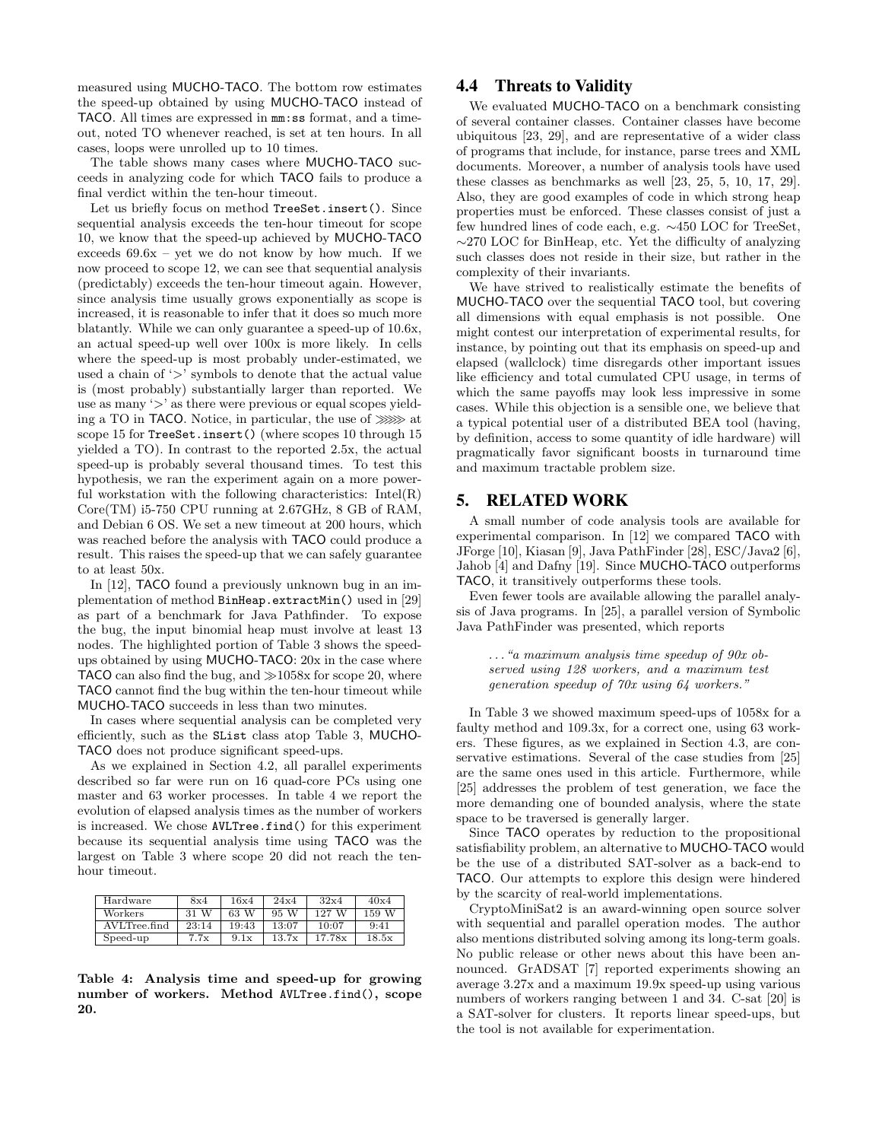measured using MUCHO-TACO. The bottom row estimates the speed-up obtained by using MUCHO-TACO instead of TACO. All times are expressed in mm:ss format, and a timeout, noted TO whenever reached, is set at ten hours. In all cases, loops were unrolled up to 10 times.

The table shows many cases where MUCHO-TACO succeeds in analyzing code for which TACO fails to produce a final verdict within the ten-hour timeout.

Let us briefly focus on method TreeSet.insert(). Since sequential analysis exceeds the ten-hour timeout for scope 10, we know that the speed-up achieved by MUCHO-TACO exceeds  $69.6x - yet$  we do not know by how much. If we now proceed to scope 12, we can see that sequential analysis (predictably) exceeds the ten-hour timeout again. However, since analysis time usually grows exponentially as scope is increased, it is reasonable to infer that it does so much more blatantly. While we can only guarantee a speed-up of 10.6x, an actual speed-up well over 100x is more likely. In cells where the speed-up is most probably under-estimated, we used a chain of '>' symbols to denote that the actual value is (most probably) substantially larger than reported. We use as many '>' as there were previous or equal scopes yielding a TO in TACO. Notice, in particular, the use of  $\gg\gg$  at scope 15 for TreeSet.insert() (where scopes 10 through 15 yielded a TO). In contrast to the reported 2.5x, the actual speed-up is probably several thousand times. To test this hypothesis, we ran the experiment again on a more powerful workstation with the following characteristics:  $Intel(R)$ Core(TM) i5-750 CPU running at 2.67GHz, 8 GB of RAM, and Debian 6 OS. We set a new timeout at 200 hours, which was reached before the analysis with TACO could produce a result. This raises the speed-up that we can safely guarantee to at least 50x.

In [12], TACO found a previously unknown bug in an implementation of method BinHeap.extractMin() used in [29] as part of a benchmark for Java Pathfinder. To expose the bug, the input binomial heap must involve at least 13 nodes. The highlighted portion of Table 3 shows the speedups obtained by using MUCHO-TACO: 20x in the case where TACO can also find the bug, and  $\gg 1058x$  for scope 20, where TACO cannot find the bug within the ten-hour timeout while MUCHO-TACO succeeds in less than two minutes.

In cases where sequential analysis can be completed very efficiently, such as the SList class atop Table 3, MUCHO-TACO does not produce significant speed-ups.

As we explained in Section 4.2, all parallel experiments described so far were run on 16 quad-core PCs using one master and 63 worker processes. In table 4 we report the evolution of elapsed analysis times as the number of workers is increased. We chose AVLTree.find() for this experiment because its sequential analysis time using TACO was the largest on Table 3 where scope 20 did not reach the tenhour timeout.

| Hardware     | 8x4     | 16x4  | 24x4  | 32x4   | 40x4  |
|--------------|---------|-------|-------|--------|-------|
| Workers      | W<br>31 | 63 W  | 95 W  | 127 W  | 159 W |
| AVLTree.find | 23:14   | 19:43 | 13:07 | 10:07  | 9:41  |
| Speed-up     | 7.7x    | 9.1x  | 13.7x | 17.78x | 18.5x |

Table 4: Analysis time and speed-up for growing number of workers. Method AVLTree.find(), scope 20.

# 4.4 Threats to Validity

We evaluated MUCHO-TACO on a benchmark consisting of several container classes. Container classes have become ubiquitous [23, 29], and are representative of a wider class of programs that include, for instance, parse trees and XML documents. Moreover, a number of analysis tools have used these classes as benchmarks as well [23, 25, 5, 10, 17, 29]. Also, they are good examples of code in which strong heap properties must be enforced. These classes consist of just a few hundred lines of code each, e.g. ∼450 LOC for TreeSet, ∼270 LOC for BinHeap, etc. Yet the difficulty of analyzing such classes does not reside in their size, but rather in the complexity of their invariants.

We have strived to realistically estimate the benefits of MUCHO-TACO over the sequential TACO tool, but covering all dimensions with equal emphasis is not possible. One might contest our interpretation of experimental results, for instance, by pointing out that its emphasis on speed-up and elapsed (wallclock) time disregards other important issues like efficiency and total cumulated CPU usage, in terms of which the same payoffs may look less impressive in some cases. While this objection is a sensible one, we believe that a typical potential user of a distributed BEA tool (having, by definition, access to some quantity of idle hardware) will pragmatically favor significant boosts in turnaround time and maximum tractable problem size.

# 5. RELATED WORK

A small number of code analysis tools are available for experimental comparison. In [12] we compared TACO with JForge [10], Kiasan [9], Java PathFinder [28], ESC/Java2 [6], Jahob [4] and Dafny [19]. Since MUCHO-TACO outperforms TACO, it transitively outperforms these tools.

Even fewer tools are available allowing the parallel analysis of Java programs. In [25], a parallel version of Symbolic Java PathFinder was presented, which reports

. . ."a maximum analysis time speedup of 90x observed using 128 workers, and a maximum test generation speedup of 70x using 64 workers."

In Table 3 we showed maximum speed-ups of 1058x for a faulty method and 109.3x, for a correct one, using 63 workers. These figures, as we explained in Section 4.3, are conservative estimations. Several of the case studies from [25] are the same ones used in this article. Furthermore, while [25] addresses the problem of test generation, we face the more demanding one of bounded analysis, where the state space to be traversed is generally larger.

Since TACO operates by reduction to the propositional satisfiability problem, an alternative to MUCHO-TACO would be the use of a distributed SAT-solver as a back-end to TACO. Our attempts to explore this design were hindered by the scarcity of real-world implementations.

CryptoMiniSat2 is an award-winning open source solver with sequential and parallel operation modes. The author also mentions distributed solving among its long-term goals. No public release or other news about this have been announced. GrADSAT [7] reported experiments showing an average 3.27x and a maximum 19.9x speed-up using various numbers of workers ranging between 1 and 34. C-sat [20] is a SAT-solver for clusters. It reports linear speed-ups, but the tool is not available for experimentation.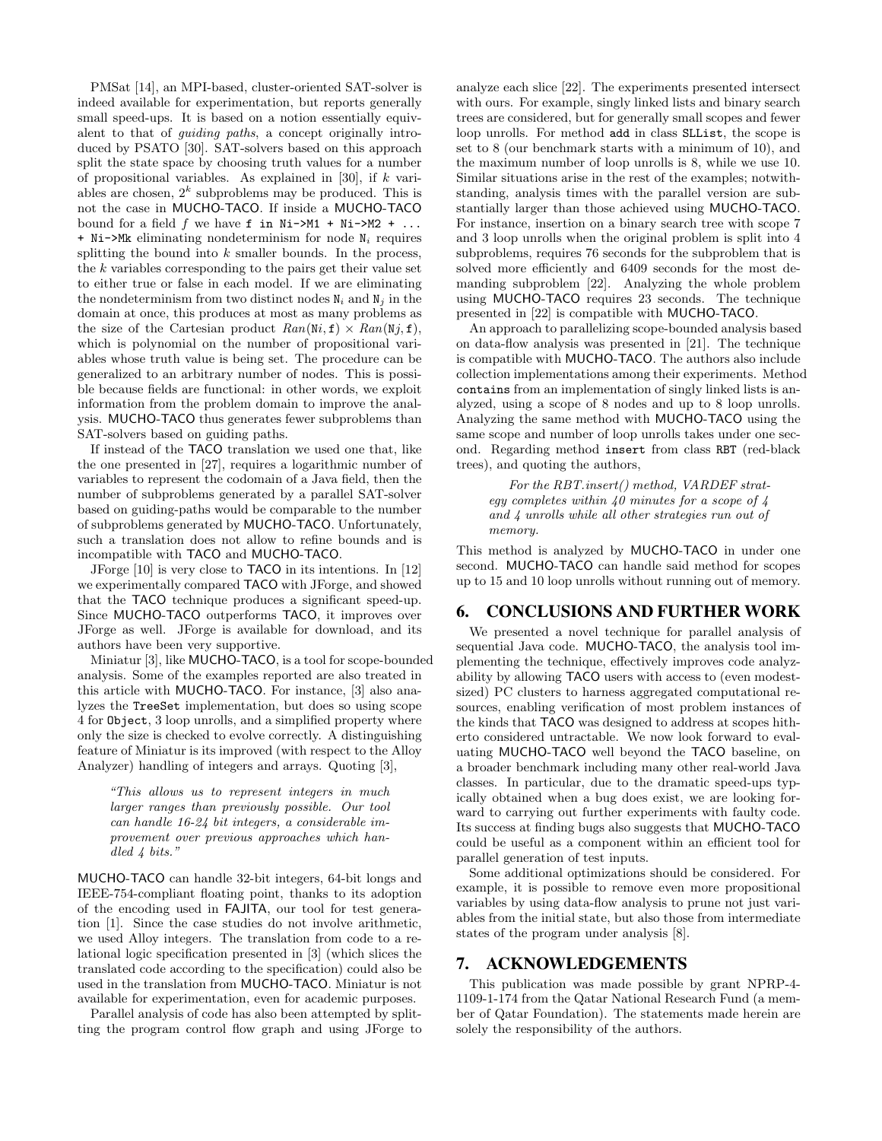PMSat [14], an MPI-based, cluster-oriented SAT-solver is indeed available for experimentation, but reports generally small speed-ups. It is based on a notion essentially equivalent to that of guiding paths, a concept originally introduced by PSATO [30]. SAT-solvers based on this approach split the state space by choosing truth values for a number of propositional variables. As explained in [30], if  $k$  variables are chosen,  $2^k$  subproblems may be produced. This is not the case in MUCHO-TACO. If inside a MUCHO-TACO bound for a field  $f$  we have  $f$  in Ni->M1 + Ni->M2 + ...  $+$  Ni->Mk eliminating nondeterminism for node  $N_i$  requires splitting the bound into  $k$  smaller bounds. In the process, the  $k$  variables corresponding to the pairs get their value set to either true or false in each model. If we are eliminating the nondeterminism from two distinct nodes  $N_i$  and  $N_j$  in the domain at once, this produces at most as many problems as the size of the Cartesian product  $Ran(\text{Ni}, \text{f}) \times Ran(\text{Nj}, \text{f}),$ which is polynomial on the number of propositional variables whose truth value is being set. The procedure can be generalized to an arbitrary number of nodes. This is possible because fields are functional: in other words, we exploit information from the problem domain to improve the analysis. MUCHO-TACO thus generates fewer subproblems than SAT-solvers based on guiding paths.

If instead of the TACO translation we used one that, like the one presented in [27], requires a logarithmic number of variables to represent the codomain of a Java field, then the number of subproblems generated by a parallel SAT-solver based on guiding-paths would be comparable to the number of subproblems generated by MUCHO-TACO. Unfortunately, such a translation does not allow to refine bounds and is incompatible with TACO and MUCHO-TACO.

JForge [10] is very close to TACO in its intentions. In [12] we experimentally compared TACO with JForge, and showed that the TACO technique produces a significant speed-up. Since MUCHO-TACO outperforms TACO, it improves over JForge as well. JForge is available for download, and its authors have been very supportive.

Miniatur [3], like MUCHO-TACO, is a tool for scope-bounded analysis. Some of the examples reported are also treated in this article with MUCHO-TACO. For instance, [3] also analyzes the TreeSet implementation, but does so using scope 4 for Object, 3 loop unrolls, and a simplified property where only the size is checked to evolve correctly. A distinguishing feature of Miniatur is its improved (with respect to the Alloy Analyzer) handling of integers and arrays. Quoting [3],

"This allows us to represent integers in much larger ranges than previously possible. Our tool can handle 16-24 bit integers, a considerable improvement over previous approaches which handled 4 bits."

MUCHO-TACO can handle 32-bit integers, 64-bit longs and IEEE-754-compliant floating point, thanks to its adoption of the encoding used in FAJITA, our tool for test generation [1]. Since the case studies do not involve arithmetic, we used Alloy integers. The translation from code to a relational logic specification presented in [3] (which slices the translated code according to the specification) could also be used in the translation from MUCHO-TACO. Miniatur is not available for experimentation, even for academic purposes.

Parallel analysis of code has also been attempted by splitting the program control flow graph and using JForge to analyze each slice [22]. The experiments presented intersect with ours. For example, singly linked lists and binary search trees are considered, but for generally small scopes and fewer loop unrolls. For method add in class SLList, the scope is set to 8 (our benchmark starts with a minimum of 10), and the maximum number of loop unrolls is 8, while we use 10. Similar situations arise in the rest of the examples; notwithstanding, analysis times with the parallel version are substantially larger than those achieved using MUCHO-TACO. For instance, insertion on a binary search tree with scope 7 and 3 loop unrolls when the original problem is split into 4 subproblems, requires 76 seconds for the subproblem that is solved more efficiently and 6409 seconds for the most demanding subproblem [22]. Analyzing the whole problem using MUCHO-TACO requires 23 seconds. The technique presented in [22] is compatible with MUCHO-TACO.

An approach to parallelizing scope-bounded analysis based on data-flow analysis was presented in [21]. The technique is compatible with MUCHO-TACO. The authors also include collection implementations among their experiments. Method contains from an implementation of singly linked lists is analyzed, using a scope of 8 nodes and up to 8 loop unrolls. Analyzing the same method with MUCHO-TACO using the same scope and number of loop unrolls takes under one second. Regarding method insert from class RBT (red-black trees), and quoting the authors,

For the RBT.insert() method, VARDEF strategy completes within 40 minutes for a scope of 4 and 4 unrolls while all other strategies run out of memory.

This method is analyzed by MUCHO-TACO in under one second. MUCHO-TACO can handle said method for scopes up to 15 and 10 loop unrolls without running out of memory.

#### 6. CONCLUSIONS AND FURTHER WORK

We presented a novel technique for parallel analysis of sequential Java code. MUCHO-TACO, the analysis tool implementing the technique, effectively improves code analyzability by allowing TACO users with access to (even modestsized) PC clusters to harness aggregated computational resources, enabling verification of most problem instances of the kinds that TACO was designed to address at scopes hitherto considered untractable. We now look forward to evaluating MUCHO-TACO well beyond the TACO baseline, on a broader benchmark including many other real-world Java classes. In particular, due to the dramatic speed-ups typically obtained when a bug does exist, we are looking forward to carrying out further experiments with faulty code. Its success at finding bugs also suggests that MUCHO-TACO could be useful as a component within an efficient tool for parallel generation of test inputs.

Some additional optimizations should be considered. For example, it is possible to remove even more propositional variables by using data-flow analysis to prune not just variables from the initial state, but also those from intermediate states of the program under analysis [8].

# 7. ACKNOWLEDGEMENTS

This publication was made possible by grant NPRP-4- 1109-1-174 from the Qatar National Research Fund (a member of Qatar Foundation). The statements made herein are solely the responsibility of the authors.